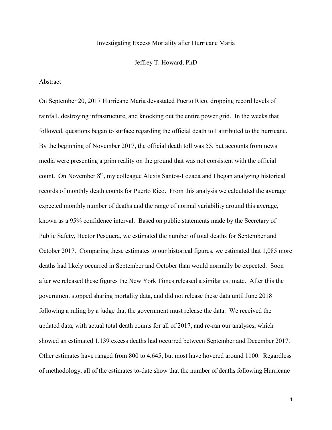## Investigating Excess Mortality after Hurricane Maria

Jeffrey T. Howard, PhD

## Abstract

On September 20, 2017 Hurricane Maria devastated Puerto Rico, dropping record levels of rainfall, destroying infrastructure, and knocking out the entire power grid. In the weeks that followed, questions began to surface regarding the official death toll attributed to the hurricane. By the beginning of November 2017, the official death toll was 55, but accounts from news media were presenting a grim reality on the ground that was not consistent with the official count. On November 8<sup>th</sup>, my colleague Alexis Santos-Lozada and I began analyzing historical records of monthly death counts for Puerto Rico. From this analysis we calculated the average expected monthly number of deaths and the range of normal variability around this average, known as a 95% confidence interval. Based on public statements made by the Secretary of Public Safety, Hector Pesquera, we estimated the number of total deaths for September and October 2017. Comparing these estimates to our historical figures, we estimated that 1,085 more deaths had likely occurred in September and October than would normally be expected. Soon after we released these figures the New York Times released a similar estimate. After this the government stopped sharing mortality data, and did not release these data until June 2018 following a ruling by a judge that the government must release the data. We received the updated data, with actual total death counts for all of 2017, and re-ran our analyses, which showed an estimated 1,139 excess deaths had occurred between September and December 2017. Other estimates have ranged from 800 to 4,645, but most have hovered around 1100. Regardless of methodology, all of the estimates to-date show that the number of deaths following Hurricane